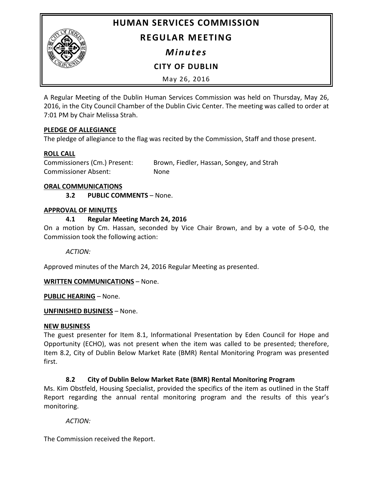**HUMAN SERVICES COMMISSION**



# **REGULAR MEETING**

*Minutes*

**CITY OF DUBLIN**

May 26, 2016

A Regular Meeting of the Dublin Human Services Commission was held on Thursday, May 26, 2016, in the City Council Chamber of the Dublin Civic Center. The meeting was called to order at 7:01 PM by Chair Melissa Strah.

## **PLEDGE OF ALLEGIANCE**

The pledge of allegiance to the flag was recited by the Commission, Staff and those present.

## **ROLL CALL**

Commissioners (Cm.) Present: Brown, Fiedler, Hassan, Songey, and Strah Commissioner Absent: None

#### **ORAL COMMUNICATIONS**

**3.2 PUBLIC COMMENTS** – None.

#### **APPROVAL OF MINUTES**

## **4.1 Regular Meeting March 24, 2016**

On a motion by Cm. Hassan, seconded by Vice Chair Brown, and by a vote of 5-0-0, the Commission took the following action:

*ACTION:*

Approved minutes of the March 24, 2016 Regular Meeting as presented.

## **WRITTEN COMMUNICATIONS** – None.

**PUBLIC HEARING** – None.

## **UNFINISHED BUSINESS** – None.

## **NEW BUSINESS**

The guest presenter for Item 8.1, Informational Presentation by Eden Council for Hope and Opportunity (ECHO), was not present when the item was called to be presented; therefore, Item 8.2, City of Dublin Below Market Rate (BMR) Rental Monitoring Program was presented first.

## **8.2 City of Dublin Below Market Rate (BMR) Rental Monitoring Program**

Ms. Kim Obstfeld, Housing Specialist, provided the specifics of the item as outlined in the Staff Report regarding the annual rental monitoring program and the results of this year's monitoring.

## *ACTION:*

The Commission received the Report.